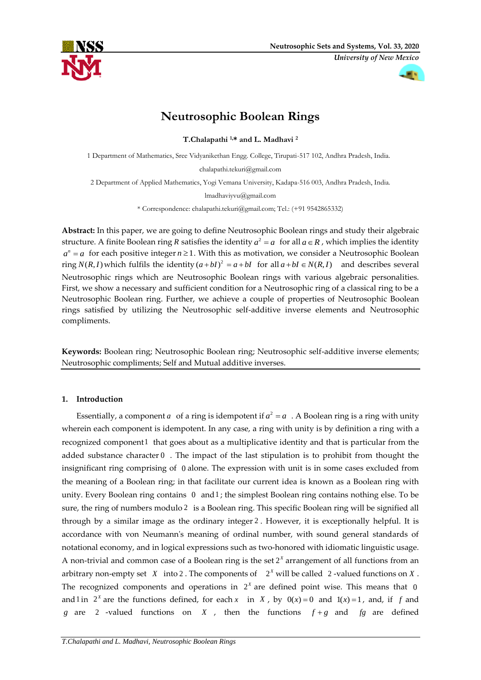

*University of New Mexico*

# **Neutrosophic Boolean Rings**

**T.Chalapathi 1,\* and L. Madhavi <sup>2</sup>**

1 Department of Mathematics, Sree Vidyanikethan Engg. College, Tirupati-517 102, Andhra Pradesh, India.

chalapathi.tekuri@gmail.com

2 Department of Applied Mathematics, Yogi Vemana University, Kadapa-516 003, Andhra Pradesh, India.

lmadhaviyvu@gmail.com

\* Correspondence: chalapathi.tekuri@gmail.com; Tel.: (+91 9542865332)

**Abstract:** In this paper, we are going to define Neutrosophic Boolean rings and study their algebraic structure. A finite Boolean ring  $R$  satisfies the identity  $a^2 = a \;$  for all  $a \in R$  , which implies the identity  $a^n = a$  for each positive integer  $n \ge 1$ . With this as motivation, we consider a Neutrosophic Boolean ring  $N(R, I)$  which fulfils the identity  $(a + bI)^2 = a + bI$  for all  $a + bI \in N(R, I)$  and describes several Neutrosophic rings which are Neutrosophic Boolean rings with various algebraic personalities. First, we show a necessary and sufficient condition for a Neutrosophic ring of a classical ring to be a Neutrosophic Boolean ring. Further, we achieve a couple of properties of Neutrosophic Boolean rings satisfied by utilizing the Neutrosophic self-additive inverse elements and Neutrosophic compliments.

**Keywords:** Boolean ring; Neutrosophic Boolean ring; Neutrosophic self-additive inverse elements; Neutrosophic compliments; Self and Mutual additive inverses.

# **1. Introduction**

Essentially, a component  $a$  of a ring is idempotent if  $a^2 = a$  . A Boolean ring is a ring with unity wherein each component is idempotent. In any case, a ring with unity is by definition a ring with a recognized component 1 that goes about as a multiplicative identity and that is particular from the added substance character 0 . The impact of the last stipulation is to prohibit from thought the insignificant ring comprising of 0 alone. The expression with unit is in some cases excluded from the meaning of a Boolean ring; in that facilitate our current idea is known as a Boolean ring with unity. Every Boolean ring contains 0 and 1; the simplest Boolean ring contains nothing else. To be sure, the ring of numbers modulo 2 is a Boolean ring. This specific Boolean ring will be signified all through by a similar image as the ordinary integer 2 . However, it is exceptionally helpful. It is accordance with von Neumann's meaning of ordinal number, with sound general standards of notational economy, and in logical expressions such as two-honored with idiomatic linguistic usage. A non-trivial and common case of a Boolean ring is the set  $2^x$  arrangement of all functions from an arbitrary non-empty set  $X$  into 2. The components of  $2^X$  will be called  $2$ -valued functions on  $X$ . The recognized components and operations in  $2<sup>x</sup>$  are defined point wise. This means that 0 and  $\lim_{x \to a} 2^x$  are the functions defined, for each x in X, by  $0(x) = 0$  and  $1(x) = 1$ , and, if f and *g* are 2 -valued functions on *X*, then the functions  $f+g$  and  $fg$  are defined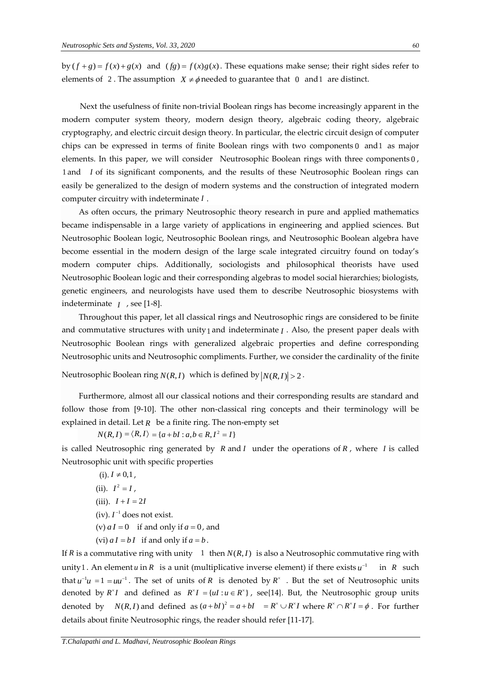by  $(f+g) = f(x)+g(x)$  and  $(fg) = f(x)g(x)$ . These equations make sense; their right sides refer to elements of 2. The assumption  $X \neq \phi$  needed to guarantee that 0 and 1 are distinct.

Next the usefulness of finite non-trivial Boolean rings has become increasingly apparent in the modern computer system theory, modern design theory, algebraic coding theory, algebraic cryptography, and electric circuit design theory. In particular, the electric circuit design of computer chips can be expressed in terms of finite Boolean rings with two components 0 and 1 as major elements. In this paper, we will consider Neutrosophic Boolean rings with three components 0 , 1 and *I* of its significant components, and the results of these Neutrosophic Boolean rings can easily be generalized to the design of modern systems and the construction of integrated modern computer circuitry with indeterminate *I* .

As often occurs, the primary Neutrosophic theory research in pure and applied mathematics became indispensable in a large variety of applications in engineering and applied sciences. But Neutrosophic Boolean logic, Neutrosophic Boolean rings, and Neutrosophic Boolean algebra have become essential in the modern design of the large scale integrated circuitry found on today's modern computer chips. Additionally, sociologists and philosophical theorists have used Neutrosophic Boolean logic and their corresponding algebras to model social hierarchies; biologists, genetic engineers, and neurologists have used them to describe Neutrosophic biosystems with indeterminate *<sup>I</sup>* , see [1-8].

Throughout this paper, let all classical rings and Neutrosophic rings are considered to be finite and commutative structures with unity<sub>1</sub> and indeterminate *I*. Also, the present paper deals with Neutrosophic Boolean rings with generalized algebraic properties and define corresponding Neutrosophic units and Neutrosophic compliments. Further, we consider the cardinality of the finite

Neutrosophic Boolean ring  $N(R, I)$  which is defined by  $|N(R, I)| > 2$  .

Furthermore, almost all our classical notions and their corresponding results are standard and follow those from [9-10]. The other non-classical ring concepts and their terminology will be explained in detail. Let *R* be a finite ring. The non-empty set

 $N(R, I) = \langle R, I \rangle = \{a + bI : a, b \in R, I^2 = I\}$ 

is called Neutrosophic ring generated by *R* and *I* under the operations of *R* , where *I* is called Neutrosophic unit with specific properties

 $(i)$ .  $I \neq 0,1$ ,  $I^2 = I$ ,  $(iii)$ .  $I + I = 2I$  $(iv)$ .  $I^{-1}$  does not exist. (v)  $aI = 0$  if and only if  $a = 0$ , and (vi)  $aI = bI$  if and only if  $a = b$ .

If *R* is a commutative ring with unity 1 then  $N(R, I)$  is also a Neutrosophic commutative ring with unity 1 . An element *u* in *R* is a unit (multiplicative inverse element) if there exists  $u^{-1}$  in *R* such that  $u^{-1}u = 1 = uu^{-1}$ . The set of units of R is denoted by  $R^{\times}$ . But the set of Neutrosophic units denoted by  $R^{\times}I$  and defined as  $R^{\times}I = \{uI : u \in R^{\times}\}\$ , see $\{14\}$ . But, the Neutrosophic group units denoted by  $N(R, I)$  and defined as  $(a + bI)^2 = a + bI = R^* \cup R^*I$  where  $R^* \cap R^*I = \phi$ . For further details about finite Neutrosophic rings, the reader should refer [11-17].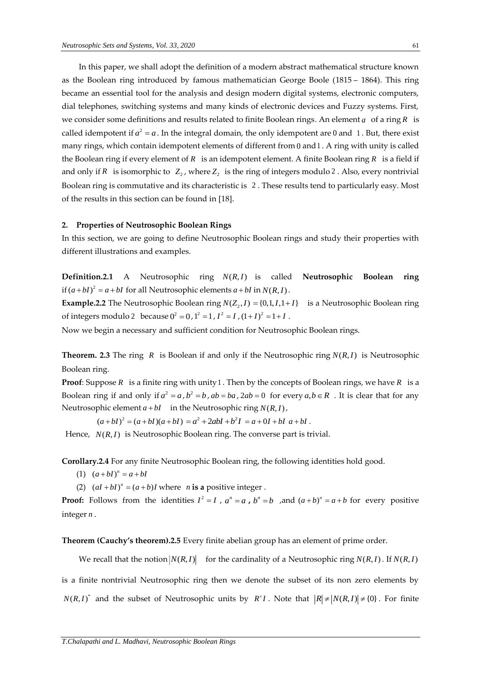In this paper, we shall adopt the definition of a modern abstract mathematical structure known as the Boolean ring introduced by famous mathematician George Boole (1815 – 1864). This ring became an essential tool for the analysis and design modern digital systems, electronic computers, dial telephones, switching systems and many kinds of electronic devices and Fuzzy systems. First, we consider some definitions and results related to finite Boolean rings. An element  $a$   $\,$  of a ring  $R$   $\,$  is called idempotent if  $a^2 = a$ . In the integral domain, the only idempotent are 0 and 1. But, there exist many rings, which contain idempotent elements of different from 0 and 1 . A ring with unity is called the Boolean ring if every element of  $R$  is an idempotent element. A finite Boolean ring  $R$  is a field if and only if  $R$  is isomorphic to  $Z_2$ , where  $Z_2$  is the ring of integers modulo 2. Also, every nontrivial Boolean ring is commutative and its characteristic is <sup>2</sup> . These results tend to particularly easy. Most of the results in this section can be found in [18].

# **2. Properties of Neutrosophic Boolean Rings**

In this section, we are going to define Neutrosophic Boolean rings and study their properties with different illustrations and examples.

**Definition.2.1** A Neutrosophic ring *N R I* ( , ) is called **Neutrosophic Boolean ring** if  $(a + bI)^2 = a + bI$  for all Neutrosophic elements  $a + bI$  in  $N(R, I)$ .

**Example.2.2** The Neutrosophic Boolean ring  $N(Z_2, I) = \{0, 1, I, 1 + I\}$  is a Neutrosophic Boolean ring of integers modulo 2 because  $0^2 = 0$ ,  $1^2 = 1$ ,  $I^2 = I$ ,  $(1+I)^2 = 1+I$ .

Now we begin a necessary and sufficient condition for Neutrosophic Boolean rings.

**Theorem.** 2.3 The ring R is Boolean if and only if the Neutrosophic ring  $N(R, I)$  is Neutrosophic Boolean ring.

**Proof**: Suppose *R* is a finite ring with unity 1 . Then by the concepts of Boolean rings, we have *R* is a Boolean ring if and only if  $a^2 = a$ ,  $b^2 = b$ ,  $ab = ba$ ,  $2ab = 0$  for every  $a, b \in R$ . It is clear that for any Neutrosophic element  $a + bI$  in the Neutrosophic ring  $N(R, I)$  ,

 $(a+bl)^{2} = (a+bl)(a+bl) = a^{2} + 2abl + b^{2}I = a+0I + bl \ a+bl.$ 

Hence,  $N(R, I)$  is Neutrosophic Boolean ring. The converse part is trivial.

**Corollary.2.4** For any finite Neutrosophic Boolean ring, the following identities hold good.

- $(a + bI)^n = a + bI$
- (2)  $(aI + bI)^n = (a + b)I$  where *n* is a positive integer.

**Proof:** Follows from the identities  $I^2 = I$ ,  $a^n = a$ ,  $b^n = b$ , and  $(a+b)^n = a+b$  for every positive integer *n* .

**Theorem (Cauchy's theorem).2.5** Every finite abelian group has an element of prime order.

We recall that the notion  $|N(R, I)|$  for the cardinality of a Neutrosophic ring  $N(R, I)$  . If  $N(R, I)$ 

is a finite nontrivial Neutrosophic ring then we denote the subset of its non zero elements by  $N(R, I)^*$  and the subset of Neutrosophic units by  $R^*I$ . Note that  $|R| \neq |N(R, I)| \neq \{0\}$ . For finite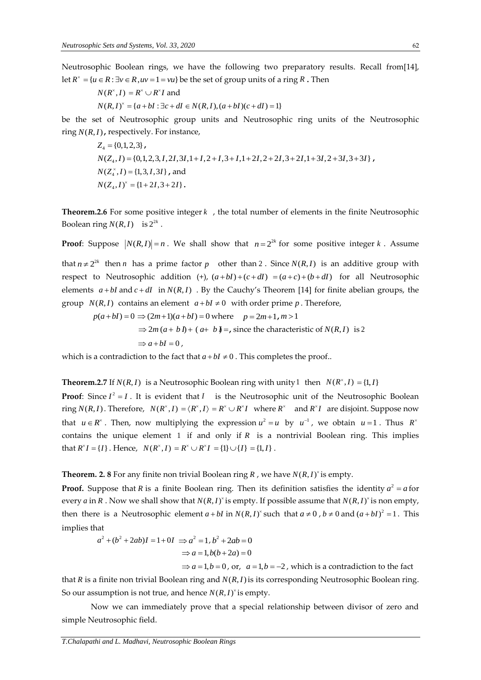Neutrosophic Boolean rings, we have the following two preparatory results. Recall from[14], let  $R^{\times} = \{u \in R : \exists v \in R, uv = 1 = vu\}$  be the set of group units of a ring R . Then

$$
N(R^{\times}, I) = R^{\times} \cup R^{\times}I \text{ and}
$$
  
 
$$
N(R, I)^{\times} = \{a + bI : \exists c + dI \in N(R, I), (a + bI)(c + dI) = 1\}
$$

be the set of Neutrosophic group units and Neutrosophic ring units of the Neutrosophic  $\text{ring } N(R, I)$ , respectively. For instance,

$$
Z_4 = \{0, 1, 2, 3\},
$$
  
\n
$$
N(Z_4, I) = \{0, 1, 2, 3, I, 2I, 3I, 1 + I, 2 + I, 3 + I, 1 + 2I, 2 + 2I, 3 + 2I, 1 + 3I, 2 + 3I, 3 + 3I\},
$$
  
\n
$$
N(Z_4^*, I) = \{1, 3, I, 3I\},
$$
 and  
\n
$$
N(Z_4, I)^* = \{1 + 2I, 3 + 2I\}.
$$

**Theorem.2.6** For some positive integer *k* , the total number of elements in the finite Neutrosophic Boolean ring  $N(R, I)$  is  $2^{2k}$ .

**Proof**: Suppose  $|N(R, I)| = n$ . We shall show that  $n = 2^{2k}$  for some positive integer k. Assume

that  $n \neq 2^{2k}$  then *n* has a prime factor *p* other than 2. Since  $N(R, I)$  is an additive group with respect to Neutrosophic addition  $(+)$ ,  $(a+bI)+(c+dI) = (a+c)+(b+dI)$  for all Neutrosophic elements  $a + bI$  and  $c + dI$  in  $N(R, I)$ . By the Cauchy's Theorem [14] for finite abelian groups, the group  $N(R, I)$  contains an element  $a + bI \neq 0$  with order prime p. Therefore,

$$
p(a+bI) = 0 \Rightarrow (2m+1)(a+bI) = 0 \text{ where } p = 2m+1, m > 1
$$
  

$$
\Rightarrow 2m(a+bI) + (a+bJ) = \text{, since the characteristic of } N(R,I) \text{ is } 2
$$
  

$$
\Rightarrow a+bI = 0,
$$

which is a contradiction to the fact that  $a + bI \neq 0$  . This completes the proof..

**Theorem.2.7** If  $N(R, I)$  is a Neutrosophic Boolean ring with unity 1 then  $N(R^*, I) = \{1, I\}$ 

**Proof**: Since  $I^2 = I$ . It is evident that *I* is the Neutrosophic unit of the Neutrosophic Boolean ring  $N(R, I)$ . Therefore,  $N(R^*, I) = \langle R^*, I \rangle = R^* \cup R^*I$  where  $R^*$  and  $R^*I$  are disjoint. Suppose now that  $u \in R^{\times}$ . Then, now multiplying the expression  $u^2 = u$  by  $u^{-1}$ , we obtain  $u = 1$ . Thus  $R^{\times}$ contains the unique element 1 if and only if *R* is a nontrivial Boolean ring. This implies  $\text{that } R^{\times}I = \{I\}$ . Hence,  $N(R^{\times}, I) = R^{\times} \cup R^{\times}I = \{1\} \cup \{I\} = \{1, I\}$ .

#### **Theorem. 2. 8** For any finite non trivial Boolean ring  $R$  , we have  $N(R, I)^{\times}$  is empty.

**Proof.** Suppose that R is a finite Boolean ring. Then its definition satisfies the identity  $a^2 = a$  for every *a* in *R* . Now we shall show that  $N(R, I)^*$  is empty. If possible assume that  $N(R, I)^*$  is non empty, then there is a Neutrosophic element  $a + bI$  in  $N(R, I)^{x}$  such that  $a \ne 0$ ,  $b \ne 0$  and  $(a + bI)^{2} = 1$ . This implies that

$$
a^2 + (b^2 + 2ab)I = 1 + 0I \implies a^2 = 1, b^2 + 2ab = 0
$$
  
 $\implies a = 1, b(b + 2a) = 0$ 

 $\Rightarrow$  *a* = 1, *b* = 0, or, *a* = 1, *b* = -2, which is a contradiction to the fact

that *R* is a finite non trivial Boolean ring and *N R I* ( , ) is its corresponding Neutrosophic Boolean ring. So our assumption is not true, and hence  $N(R, I)^{\times}$  is empty.

Now we can immediately prove that a special relationship between divisor of zero and simple Neutrosophic field.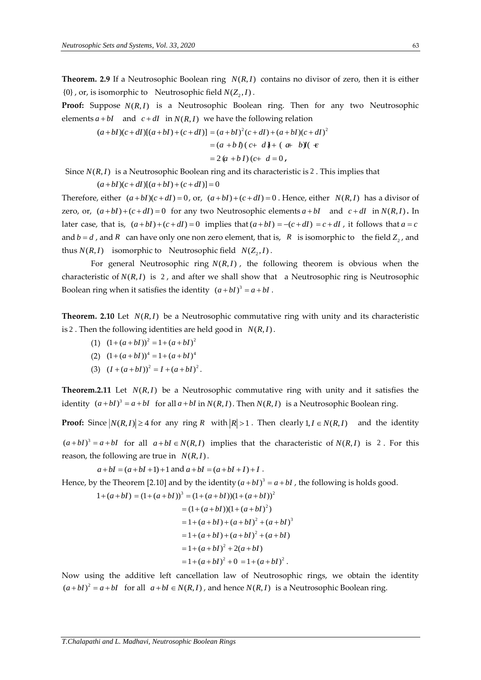**Theorem. 2.9** If a Neutrosophic Boolean ring  $N(R, I)$  contains no divisor of zero, then it is either  $\{0\}$  , or, is isomorphic to Neutrosophic field  $N(Z_2, I)$  .

Proof: Suppose  $N(R, I)$  is a Neutrosophic Boolean ring. Then for any two Neutrosophic elements  $a + bI$  and  $c + dI$  in  $N(R, I)$  we have the following relation

$$
(a+bI)(c+dI)[(a+bI)+(c+dI)] = (a+bI)^{2}(c+dI)+(a+bI)(c+dI)^{2}
$$
  
= (a+bI)(c+dJ)+(a+bJ)(e+dJ)  
= 2(a+bI)(c+d=0,

Since  $N(R, I)$  is a Neutrosophic Boolean ring and its characteristic is 2. This implies that

 $(a + bI)(c + dI)[(a + bI) + (c + dI)] = 0$ 

Therefore, either  $(a + bI)(c + dI) = 0$ , or,  $(a + bI) + (c + dI) = 0$ . Hence, either  $N(R, I)$  has a divisor of zero, or,  $(a + bI) + (c + dI) = 0$  for any two Neutrosophic elements  $a + bI$  and  $c + dI$  in  $N(R, I)$ . In later case, that is,  $(a+bI)+(c+dI)=0$  implies that  $(a+bI)=-(c+dI)=c+dI$ , it follows that  $a=c$ and  $b = d$ , and R can have only one non zero element, that is, R is isomorphic to the field  $Z_2$ , and thus  $N(R, I)$  isomorphic to Neutrosophic field  $N(Z_2, I)$ .

For general Neutrosophic ring  $N(R, I)$ , the following theorem is obvious when the characteristic of  $N(R, I)$  is 2, and after we shall show that a Neutrosophic ring is Neutrosophic Boolean ring when it satisfies the identity  $(a + bI)^3 = a + bI$ .

**Theorem.** 2.10 Let  $N(R, I)$  be a Neutrosophic commutative ring with unity and its characteristic is 2 . Then the following identities are held good in  $N(R, I)$ .

- $(1)$   $(1+(a+bI))^2 = 1+(a+bI)^2$
- $(2)$   $(1 + (a + bI))^4 = 1 + (a + bI)^4$
- $(3)$   $(I + (a + bI))^2 = I + (a + bI)^2$ .

**Theorem.2.11** Let  $N(R, I)$  be a Neutrosophic commutative ring with unity and it satisfies the identity  $(a + bI)^3 = a + bI$  for all  $a + bI$  in  $N(R, I)$ . Then  $N(R, I)$  is a Neutrosophic Boolean ring.

**Proof:** Since  $|N(R, I)| \ge 4$  for any ring R with  $|R| > 1$ . Then clearly  $1, I \in N(R, I)$  and the identity

 $(a + bI)^3 = a + bI$  for all  $a + bI \in N(R, I)$  implies that the characteristic of  $N(R, I)$  is 2. For this reason, the following are true in  $N(R, I)$ .

 $a + bI = (a + bI + 1) + 1$  and  $a + bI = (a + bI + I) + I$ .

Hence, by the Theorem [2.10] and by the identity  $(a + bI)^3 = a + bI$  , the following is holds good.

$$
1 + (a + bI) = (1 + (a + bI))^3 = (1 + (a + bI))(1 + (a + bI))^2
$$
  
= (1 + (a + bI))(1 + (a + bI)^2)  
= 1 + (a + bI) + (a + bI)^2 + (a + bI)^3  
= 1 + (a + bI) + (a + bI)^2 + (a + bI)  
= 1 + (a + bI)^2 + 2(a + bI)  
= 1 + (a + bI)^2 + 0 = 1 + (a + bI)^2.

Now using the additive left cancellation law of Neutrosophic rings, we obtain the identity  $(a + bI)^2 = a + bI$  for all  $a + bI \in N(R, I)$ , and hence  $N(R, I)$  is a Neutrosophic Boolean ring.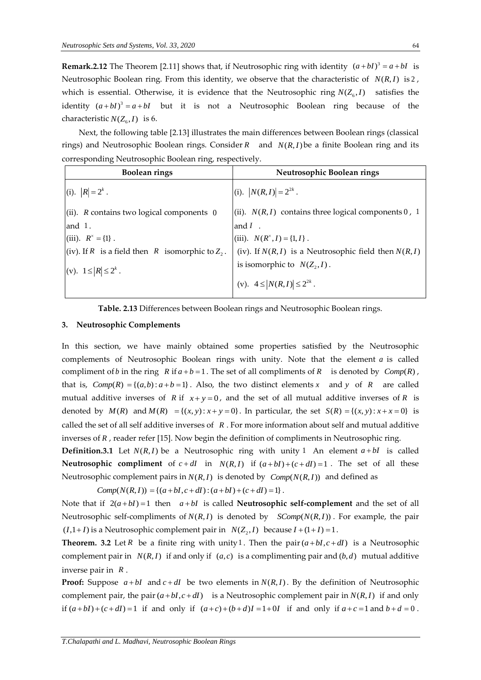**Remark.2.12** The Theorem [2.11] shows that, if Neutrosophic ring with identity  $(a + bI)^3 = a + bI$  is Neutrosophic Boolean ring. From this identity, we observe that the characteristic of  $N(R, I)$  is 2, which is essential. Otherwise, it is evidence that the Neutrosophic ring  $N(Z_{6}, I)$  satisfies the identity  $(a + bI)^3 = a + bI$  but it is not a Neutrosophic Boolean ring because of the characteristic  $N(Z_6, I)$  is 6.

Next, the following table [2.13] illustrates the main differences between Boolean rings (classical rings) and Neutrosophic Boolean rings. Consider  $R$  and  $N(R, I)$  be a finite Boolean ring and its corresponding Neutrosophic Boolean ring, respectively.

| <b>Boolean rings</b>                               | Neutrosophic Boolean rings                                 |
|----------------------------------------------------|------------------------------------------------------------|
| (i). $ R  = 2^k$ .                                 | (i). $ N(R, I)  = 2^{2k}$ .                                |
| (ii). $R$ contains two logical components $0$      | $(iii)$ . $N(R, I)$ contains three logical components 0, 1 |
| and $1$ .                                          | and $I$ .                                                  |
| (iii). $R^* = \{1\}$ .                             | (iii). $N(R^*, I) = \{1, I\}$ .                            |
| (iv). If R is a field then R isomorphic to $Z_2$ . | (iv). If $N(R, I)$ is a Neutrosophic field then $N(R, I)$  |
| (v). $1 \le  R  \le 2^k$ .                         | is isomorphic to $N(Z_2, I)$ .                             |
|                                                    | (v). $4 \leq  N(R, I)  \leq 2^{2k}$ .                      |

**Table. 2.13** Differences between Boolean rings and Neutrosophic Boolean rings.

## **3. Neutrosophic Complements**

In this section, we have mainly obtained some properties satisfied by the Neutrosophic complements of Neutrosophic Boolean rings with unity. Note that the element *a* is called compliment of *b* in the ring  $R$  if  $a + b = 1$ . The set of all compliments of  $R$  is denoted by  $Comp(R)$ , that is,  $Comp(R) = \{(a,b): a+b=1\}$ . Also, the two distinct elements x and y of R are called mutual additive inverses of R if  $x + y = 0$ , and the set of all mutual additive inverses of R is denoted by  $M(R)$  and  $M(R) = \{(x, y) : x + y = 0\}$ . In particular, the set  $S(R) = \{(x, y) : x + x = 0\}$  is called the set of all self additive inverses of *R* . For more information about self and mutual additive inverses of *R* , reader refer [15]. Now begin the definition of compliments in Neutrosophic ring.

**Definition.3.1** Let  $N(R, I)$  be a Neutrosophic ring with unity 1 An element  $a + bI$  is called **Neutrosophic compliment** of  $c + dI$  in  $N(R, I)$  if  $(a + bI) + (c + dI) = 1$ . The set of all these Neutrosophic complement pairs in  $N(R, I)$  is denoted by  $\mathit{Comp}(N(R, I))$  and defined as

 $Comp(N(R, I)) = \{(a + bI, c + dI) : (a + bI) + (c + dI) = 1\}$ .

Note that if  $2(a+bI)=1$  then  $a+bI$  is called **Neutrosophic self-complement** and the set of all Neutrosophic self-compliments of  $N(R, I)$  is denoted by  $SComp(N(R, I))$ . For example, the pair  $(I,1+I)$  is a Neutrosophic complement pair in  $N(Z_2, I)$  because  $I + (1+I) = 1$ .

**Theorem.** 3.2 Let R be a finite ring with unity 1. Then the pair  $(a + bI, c + dI)$  is a Neutrosophic complement pair in  $N(R, I)$  if and only if  $(a, c)$  is a complimenting pair and  $(b, d)$  mutual additive inverse pair in *<sup>R</sup>* .

**Proof:** Suppose  $a + bI$  and  $c + dI$  be two elements in  $N(R, I)$ . By the definition of Neutrosophic complement pair, the pair  $(a + bI, c + dI)$  is a Neutrosophic complement pair in  $N(R, I)$  if and only if  $(a+bl)+(c+dl)=1$  if and only if  $(a+c)+(b+d)I=1+0I$  if and only if  $a+c=1$  and  $b+d=0$ .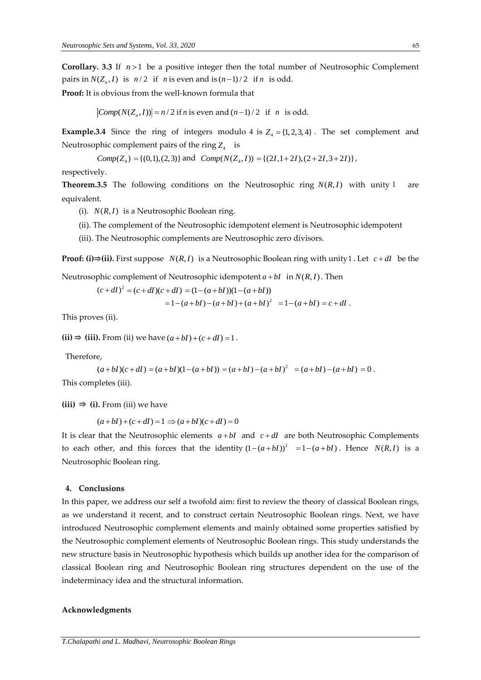**Corollary.** 3.3 If  $n > 1$  be a positive integer then the total number of Neutrosophic Complement pairs in  $N(Z_n, I)$  is  $n/2$  if *n* is even and is  $(n-1)/2$  if *n* is odd.

**Proof:** It is obvious from the well-known formula that

 $Comp(N(Z_n, I)) = n/2$  if *n* is even and  $(n-1)/2$  if *n* is odd.

**Example.3.4** Since the ring of integers modulo 4 is  $Z_4 = \{1, 2, 3, 4\}$ . The set complement and Neutrosophic complement pairs of the ring  $Z_4$  is

Comp
$$
(Z_4)
$$
 = { $(0,1)$ ,  $(2,3)$ } and Comp $(N(Z_4, I))$  = { $(2I, 1+2I)$ ,  $(2+2I, 3+2I)$ },

respectively.

**Theorem.3.5** The following conditions on the Neutrosophic ring  $N(R, I)$  with unity are equivalent.

- (i).  $N(R, I)$  is a Neutrosophic Boolean ring.
- (ii). The complement of the Neutrosophic idempotent element is Neutrosophic idempotent
- (iii). The Neutrosophic complements are Neutrosophic zero divisors.

**Proof: (i)** $\Rightarrow$  **(ii).** First suppose  $N(R, I)$  is a Neutrosophic Boolean ring with unity 1 . Let  $c + dI$  be the

Neutrosophic complement of Neutrosophic idempotent  $a + bI$  in  $N(R, I)$  . Then

$$
(c+dl)^2 = (c+dl)(c+dl) = (1-(a+bI))(1-(a+bI))
$$
  
= 1-(a+bI)-(a+bI)+(a+bI)<sup>2</sup> = 1-(a+bI) = c+dI.

This proves (ii).

 $(iii) \Rightarrow (iii)$ . From (ii) we have  $(a+bl)+(c+dl)=1$ .

Therefore,

$$
(a + bI)(c + dI) = (a + bI)(1 - (a + bI)) = (a + bI) - (a + bI)^{2} = (a + bI) - (a + bI) = 0.
$$

This completes (iii).

 $(iii) \Rightarrow (i)$ . From (iii) we have

$$
(a+bl)+(c+dl)=1 \Rightarrow (a+bl)(c+dl)=0
$$

It is clear that the Neutrosophic elements  $a + bI$  and  $c + dI$  are both Neutrosophic Complements to each other, and this forces that the identity  $(1-(a+bI))^2 = 1-(a+bI)$ . Hence  $N(R, I)$  is a Neutrosophic Boolean ring.

### **4. Conclusions**

In this paper, we address our self a twofold aim: first to review the theory of classical Boolean rings, as we understand it recent, and to construct certain Neutrosophic Boolean rings. Next, we have introduced Neutrosophic complement elements and mainly obtained some properties satisfied by the Neutrosophic complement elements of Neutrosophic Boolean rings. This study understands the new structure basis in Neutrosophic hypothesis which builds up another idea for the comparison of classical Boolean ring and Neutrosophic Boolean ring structures dependent on the use of the indeterminacy idea and the structural information.

#### **Acknowledgments**